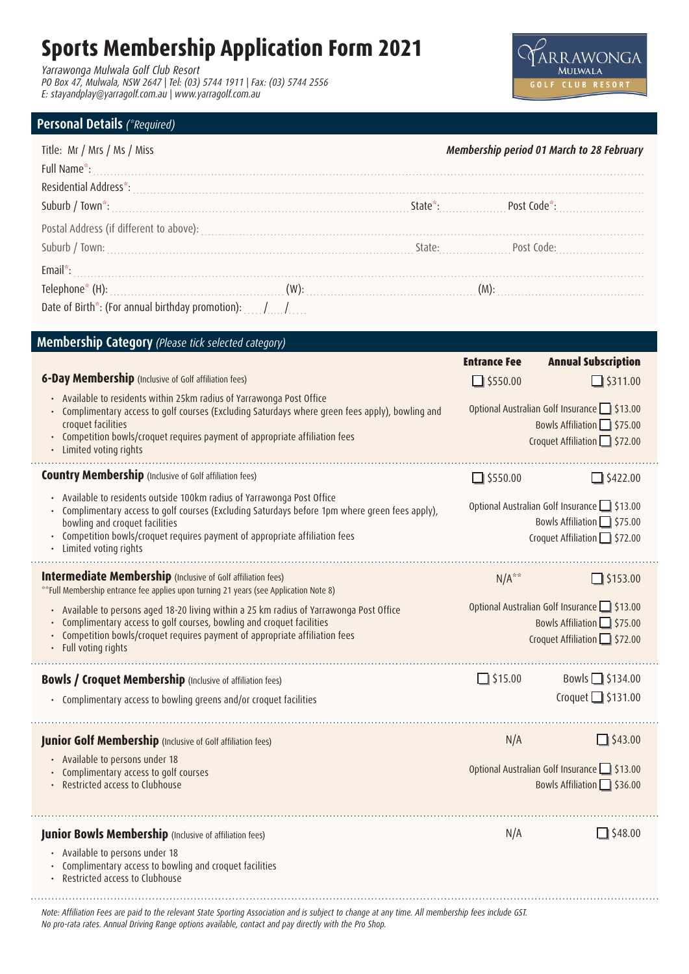# **Sports Membership Application Form 2021**

*Yarrawonga Mulwala Golf Club Resort*

*PO Box 47, Mulwala, NSW 2647 | Tel: (03) 5744 1911 | Fax: (03) 5744 2556 E: stayandplay@yarragolf.com.au | www.yarragolf.com.au*



## **Personal Details** *(\*Required)*

| Title: Mr / Mrs / Ms / Miss<br>Full Name <sup>*</sup> :                                                        |  | Membership period 01 March to 28 February |  |
|----------------------------------------------------------------------------------------------------------------|--|-------------------------------------------|--|
| Residential Address*:                                                                                          |  |                                           |  |
|                                                                                                                |  |                                           |  |
|                                                                                                                |  |                                           |  |
| Suburb / Town: www.communications.com/www.communications.com/www.communications.com/www.communications.com/www |  |                                           |  |
| $Email^*$ :                                                                                                    |  |                                           |  |
|                                                                                                                |  |                                           |  |
| Date of Birth <sup>*</sup> : (For annual birthday promotion): ______________________________                   |  |                                           |  |

| <b>Membership Category</b> (Please tick selected category)                                                                                                                                                                                                                                                      |                                        |                                                                                                     |
|-----------------------------------------------------------------------------------------------------------------------------------------------------------------------------------------------------------------------------------------------------------------------------------------------------------------|----------------------------------------|-----------------------------------------------------------------------------------------------------|
| <b>6-Day Membership</b> (Inclusive of Golf affiliation fees)<br>• Available to residents within 25km radius of Yarrawonga Post Office                                                                                                                                                                           | <b>Entrance Fee</b><br>$\Box$ \$550.00 | <b>Annual Subscription</b><br>$\Box$ \$311.00<br>Optional Australian Golf Insurance S13.00          |
| Complimentary access to golf courses (Excluding Saturdays where green fees apply), bowling and<br>croquet facilities<br>• Competition bowls/croquet requires payment of appropriate affiliation fees<br>· Limited voting rights                                                                                 |                                        | Bowls Affiliation 375.00<br>Croquet Affiliation 372.00                                              |
| <b>Country Membership</b> (Inclusive of Golf affiliation fees)                                                                                                                                                                                                                                                  | $\Box$ \$550.00                        | $\Box$ \$422.00                                                                                     |
| Available to residents outside 100km radius of Yarrawonga Post Office<br>Complimentary access to golf courses (Excluding Saturdays before 1pm where green fees apply),<br>bowling and croquet facilities<br>Competition bowls/croquet requires payment of appropriate affiliation fees<br>Limited voting rights |                                        | Optional Australian Golf Insurance S13.00<br>Bowls Affiliation 375.00<br>Croquet Affiliation 372.00 |
| <b>Intermediate Membership</b> (Inclusive of Golf affiliation fees)<br>** Full Membership entrance fee applies upon turning 21 years (see Application Note 8)                                                                                                                                                   | $N/A$ **                               | $\Box$ \$153.00                                                                                     |
| • Available to persons aged 18-20 living within a 25 km radius of Yarrawonga Post Office<br>Complimentary access to golf courses, bowling and croquet facilities<br>Competition bowls/croquet requires payment of appropriate affiliation fees<br>Full voting rights                                            |                                        | Optional Australian Golf Insurance S13.00<br>Bowls Affiliation 375.00<br>Croquet Affiliation 372.00 |
| <b>Bowls / Croquet Membership</b> (Inclusive of affiliation fees)                                                                                                                                                                                                                                               | $\Box$ \$15.00                         | Bowls <b>□</b> \$134.00                                                                             |
| • Complimentary access to bowling greens and/or croquet facilities                                                                                                                                                                                                                                              |                                        | Croquet <b>□</b> \$131.00                                                                           |
| <b>Junior Golf Membership</b> (Inclusive of Golf affiliation fees)                                                                                                                                                                                                                                              | N/A                                    | $\Box$ \$43.00                                                                                      |
| • Available to persons under 18<br>Complimentary access to golf courses<br>Restricted access to Clubhouse                                                                                                                                                                                                       |                                        | Optional Australian Golf Insurance S13.00<br>Bowls Affiliation 336.00                               |
| <b>Junior Bowls Membership</b> (Inclusive of affiliation fees)<br>Available to persons under 18<br>Complimentary access to bowling and croquet facilities<br>Restricted access to Clubhouse                                                                                                                     | N/A                                    | $\Box$ \$48.00                                                                                      |
|                                                                                                                                                                                                                                                                                                                 |                                        |                                                                                                     |

*Note: Affiliation Fees are paid to the relevant State Sporting Association and is subject to change at any time. All membership fees include GST. No pro-rata rates. Annual Driving Range options available, contact and pay directly with the Pro Shop.*